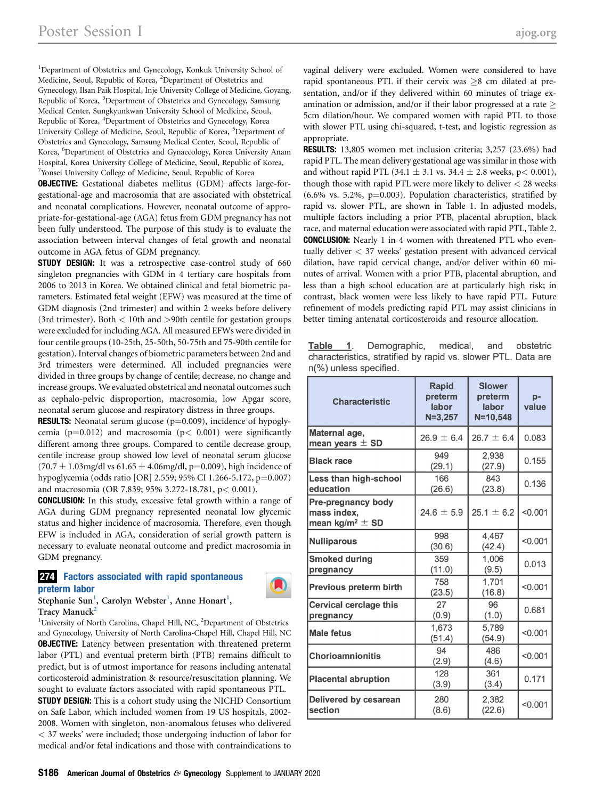<sup>1</sup>Department of Obstetrics and Gynecology, Konkuk University School of Medicine, Seoul, Republic of Korea, <sup>2</sup>Department of Obstetrics and Gynecology, Ilsan Paik Hospital, Inje University College of Medicine, Goyang, Republic of Korea, <sup>3</sup>Department of Obstetrics and Gynecology, Samsung Medical Center, Sungkyunkwan University School of Medicine, Seoul, Republic of Korea, <sup>4</sup>Department of Obstetrics and Gynecology, Korea University College of Medicine, Seoul, Republic of Korea, <sup>5</sup>Department of Obstetrics and Gynecology, Samsung Medical Center, Seoul, Republic of Korea, <sup>6</sup>Department of Obstetrics and Gynaecology, Korea University Anam Hospital, Korea University College of Medicine, Seoul, Republic of Korea, 7 Yonsei University College of Medicine, Seoul, Republic of Korea

OBJECTIVE: Gestational diabetes mellitus (GDM) affects large-forgestational-age and macrosomia that are associated with obstetrical and neonatal complications. However, neonatal outcome of appropriate-for-gestational-age (AGA) fetus from GDM pregnancy has not been fully understood. The purpose of this study is to evaluate the association between interval changes of fetal growth and neonatal outcome in AGA fetus of GDM pregnancy.

**STUDY DESIGN:** It was a retrospective case-control study of 660 singleton pregnancies with GDM in 4 tertiary care hospitals from 2006 to 2013 in Korea. We obtained clinical and fetal biometric parameters. Estimated fetal weight (EFW) was measured at the time of GDM diagnosis (2nd trimester) and within 2 weeks before delivery (3rd trimester). Both  $<$  10th and  $>$ 90th centile for gestation groups were excluded for including AGA. All measured EFWs were divided in four centile groups (10-25th, 25-50th, 50-75th and 75-90th centile for gestation). Interval changes of biometric parameters between 2nd and 3rd trimesters were determined. All included pregnancies were divided in three groups by change of centile; decrease, no change and increase groups. We evaluated obstetrical and neonatal outcomes such as cephalo-pelvic disproportion, macrosomia, low Apgar score, neonatal serum glucose and respiratory distress in three groups.

**RESULTS:** Neonatal serum glucose  $(p=0.009)$ , incidence of hypoglycemia ( $p=0.012$ ) and macrosomia ( $p< 0.001$ ) were significantly different among three groups. Compared to centile decrease group, centile increase group showed low level of neonatal serum glucose  $(70.7 \pm 1.03$ mg/dl vs  $61.65 \pm 4.06$ mg/dl, p=0.009), high incidence of hypoglycemia (odds ratio [OR] 2.559; 95% CI 1.266-5.172, p=0.007) and macrosomia (OR 7.839; 95% 3.272-18.781, p< 0.001).

CONCLUSION: In this study, excessive fetal growth within a range of AGA during GDM pregnancy represented neonatal low glycemic status and higher incidence of macrosomia. Therefore, even though EFW is included in AGA, consideration of serial growth pattern is necessary to evaluate neonatal outcome and predict macrosomia in GDM pregnancy.

## **274** Factors associated with rapid spontaneous preterm labor

 $\rm{Stephanie~Sun^1,~Carolyn~Webster^1,~ Anne~ Honart^1,}$ Tracy Manuck<sup>2</sup> <sup>1</sup>University of North Carolina, Chapel Hill, NC, <sup>2</sup>Department of Obstetrics

and Gynecology, University of North Carolina-Chapel Hill, Chapel Hill, NC **OBJECTIVE:** Latency between presentation with threatened preterm labor (PTL) and eventual preterm birth (PTB) remains difficult to predict, but is of utmost importance for reasons including antenatal corticosteroid administration & resource/resuscitation planning. We sought to evaluate factors associated with rapid spontaneous PTL. **STUDY DESIGN:** This is a cohort study using the NICHD Consortium on Safe Labor, which included women from 19 US hospitals, 2002- 2008. Women with singleton, non-anomalous fetuses who delivered < 37 weeks' were included; those undergoing induction of labor for medical and/or fetal indications and those with contraindications to vaginal delivery were excluded. Women were considered to have rapid spontaneous PTL if their cervix was  $\geq$ 8 cm dilated at presentation, and/or if they delivered within 60 minutes of triage examination or admission, and/or if their labor progressed at a rate  $\geq$ 5cm dilation/hour. We compared women with rapid PTL to those with slower PTL using chi-squared, t-test, and logistic regression as appropriate.

RESULTS: 13,805 women met inclusion criteria; 3,257 (23.6%) had rapid PTL. The mean delivery gestational age was similar in those with and without rapid PTL (34.1  $\pm$  3.1 vs. 34.4  $\pm$  2.8 weeks, p< 0.001), though those with rapid PTL were more likely to deliver < 28 weeks (6.6% vs. 5.2%,  $p=0.003$ ). Population characteristics, stratified by rapid vs. slower PTL, are shown in Table 1. In adjusted models, multiple factors including a prior PTB, placental abruption, black race, and maternal education were associated with rapid PTL, Table 2. CONCLUSION: Nearly 1 in 4 women with threatened PTL who eventually deliver < 37 weeks' gestation present with advanced cervical dilation, have rapid cervical change, and/or deliver within 60 minutes of arrival. Women with a prior PTB, placental abruption, and less than a high school education are at particularly high risk; in contrast, black women were less likely to have rapid PTL. Future refinement of models predicting rapid PTL may assist clinicians in better timing antenatal corticosteroids and resource allocation.

Table 1. Demographic, medical, and obstetric characteristics, stratified by rapid vs. slower PTL. Data are n(%) unless specified.

| <b>Characteristic</b>                                                       | <b>Rapid</b><br>preterm<br>labor<br>$N = 3,257$ | <b>Slower</b><br>preterm<br>labor<br>$N = 10,548$ | p-<br>value |
|-----------------------------------------------------------------------------|-------------------------------------------------|---------------------------------------------------|-------------|
| Maternal age,<br>mean years $\pm$ SD                                        | $26.9 \pm 6.4$                                  | $26.7 \pm 6.4$                                    | 0.083       |
| <b>Black race</b>                                                           | 949<br>(29.1)                                   | 2,938<br>(27.9)                                   | 0.155       |
| Less than high-school<br>education                                          | 166<br>(26.6)                                   | 843<br>(23.8)                                     | 0.136       |
| <b>Pre-pregnancy body</b><br>mass index,<br>mean kg/m <sup>2</sup> $\pm$ SD | $24.6 \pm 5.9$                                  | $25.1 \pm 6.2$                                    | < 0.001     |
| <b>Nulliparous</b>                                                          | 998<br>(30.6)                                   | 4,467<br>(42.4)                                   | < 0.001     |
| <b>Smoked during</b><br>pregnancy                                           | 359<br>(11.0)                                   | 1,006<br>(9.5)                                    | 0.013       |
| <b>Previous preterm birth</b>                                               | 758<br>(23.5)                                   | 1.701<br>(16.8)                                   | < 0.001     |
| <b>Cervical cerclage this</b><br>pregnancy                                  | 27<br>(0.9)                                     | 96<br>(1.0)                                       | 0.681       |
| <b>Male fetus</b>                                                           | 1,673<br>(51.4)                                 | 5.789<br>(54.9)                                   | < 0.001     |
| <b>Chorioamnionitis</b>                                                     | 94<br>(2.9)                                     | 486<br>(4.6)                                      | < 0.001     |
| <b>Placental abruption</b>                                                  | 128<br>(3.9)                                    | 361<br>(3.4)                                      | 0.171       |
| Delivered by cesarean<br>section                                            | 280<br>(8.6)                                    | 2,382<br>(22.6)                                   | < 0.001     |